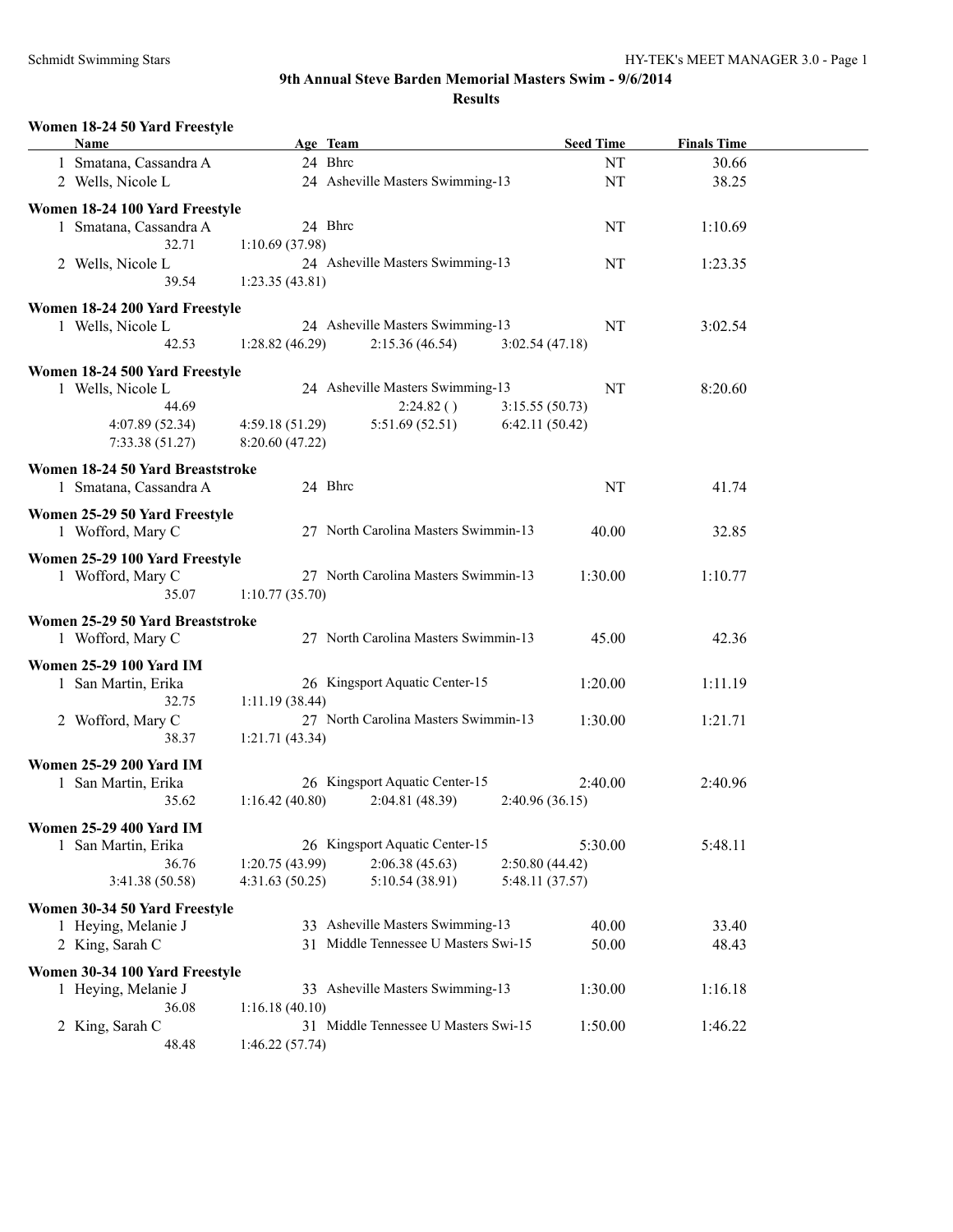#### **Women 18-24 50 Yard Freestyle**

| Name                             | Age Team        |                                      | <b>Seed Time</b> | <b>Finals Time</b> |  |
|----------------------------------|-----------------|--------------------------------------|------------------|--------------------|--|
| 1 Smatana, Cassandra A           | 24 Bhrc         |                                      | NT               | 30.66              |  |
| 2 Wells, Nicole L                |                 | 24 Asheville Masters Swimming-13     | NT               | 38.25              |  |
|                                  |                 |                                      |                  |                    |  |
| Women 18-24 100 Yard Freestyle   |                 |                                      |                  |                    |  |
| 1 Smatana, Cassandra A           | 24 Bhrc         |                                      | NT               | 1:10.69            |  |
| 32.71                            | 1:10.69(37.98)  |                                      |                  |                    |  |
| 2 Wells, Nicole L                |                 | 24 Asheville Masters Swimming-13     | NT               | 1:23.35            |  |
| 39.54                            | 1:23.35(43.81)  |                                      |                  |                    |  |
| Women 18-24 200 Yard Freestyle   |                 |                                      |                  |                    |  |
| 1 Wells, Nicole L                |                 | 24 Asheville Masters Swimming-13     | NT               | 3:02.54            |  |
| 42.53                            | 1:28.82(46.29)  | 2:15.36(46.54)<br>3:02.54(47.18)     |                  |                    |  |
| Women 18-24 500 Yard Freestyle   |                 |                                      |                  |                    |  |
| 1 Wells, Nicole L                |                 | 24 Asheville Masters Swimming-13     | NT               | 8:20.60            |  |
| 44.69                            |                 | 2:24.82()<br>3:15.55(50.73)          |                  |                    |  |
| 4:07.89 (52.34)                  | 4:59.18(51.29)  | 5:51.69(52.51)<br>6:42.11(50.42)     |                  |                    |  |
| 7:33.38(51.27)                   | 8:20.60(47.22)  |                                      |                  |                    |  |
|                                  |                 |                                      |                  |                    |  |
| Women 18-24 50 Yard Breaststroke |                 |                                      |                  |                    |  |
| 1 Smatana, Cassandra A           | 24 Bhrc         |                                      | NT               | 41.74              |  |
| Women 25-29 50 Yard Freestyle    |                 |                                      |                  |                    |  |
| 1 Wofford, Mary C                |                 | 27 North Carolina Masters Swimmin-13 | 40.00            | 32.85              |  |
|                                  |                 |                                      |                  |                    |  |
| Women 25-29 100 Yard Freestyle   |                 | 27 North Carolina Masters Swimmin-13 |                  |                    |  |
| 1 Wofford, Mary C                |                 |                                      | 1:30.00          | 1:10.77            |  |
| 35.07                            | 1:10.77(35.70)  |                                      |                  |                    |  |
| Women 25-29 50 Yard Breaststroke |                 |                                      |                  |                    |  |
| 1 Wofford, Mary C                |                 | 27 North Carolina Masters Swimmin-13 | 45.00            | 42.36              |  |
| <b>Women 25-29 100 Yard IM</b>   |                 |                                      |                  |                    |  |
| 1 San Martin, Erika              |                 | 26 Kingsport Aquatic Center-15       | 1:20.00          | 1:11.19            |  |
| 32.75                            | 1:11.19(38.44)  |                                      |                  |                    |  |
| 2 Wofford, Mary C                |                 | 27 North Carolina Masters Swimmin-13 | 1:30.00          | 1:21.71            |  |
| 38.37                            | 1:21.71(43.34)  |                                      |                  |                    |  |
|                                  |                 |                                      |                  |                    |  |
| <b>Women 25-29 200 Yard IM</b>   |                 |                                      |                  |                    |  |
| 1 San Martin, Erika              |                 | 26 Kingsport Aquatic Center-15       | 2:40.00          | 2:40.96            |  |
| 35.62                            | 1:16.42(40.80)  | 2:04.81 (48.39)<br>2:40.96(36.15)    |                  |                    |  |
| <b>Women 25-29 400 Yard IM</b>   |                 |                                      |                  |                    |  |
| 1 San Martin, Erika              |                 | 26 Kingsport Aquatic Center-15       | 5:30.00          | 5:48.11            |  |
| 36.76                            | 1:20.75 (43.99) | 2:06.38(45.63)<br>2:50.80(44.42)     |                  |                    |  |
| 3:41.38 (50.58)                  | 4:31.63(50.25)  | 5:10.54 (38.91)<br>5:48.11 (37.57)   |                  |                    |  |
|                                  |                 |                                      |                  |                    |  |
| Women 30-34 50 Yard Freestyle    |                 | 33 Asheville Masters Swimming-13     |                  |                    |  |
| 1 Heying, Melanie J              |                 | 31 Middle Tennessee U Masters Swi-15 | 40.00<br>50.00   | 33.40<br>48.43     |  |
| 2 King, Sarah C                  |                 |                                      |                  |                    |  |
| Women 30-34 100 Yard Freestyle   |                 |                                      |                  |                    |  |
| 1 Heying, Melanie J              |                 | 33 Asheville Masters Swimming-13     | 1:30.00          | 1:16.18            |  |
| 36.08                            | 1:16.18(40.10)  |                                      |                  |                    |  |
| 2 King, Sarah C                  |                 | 31 Middle Tennessee U Masters Swi-15 | 1:50.00          | 1:46.22            |  |
| 48.48                            | 1:46.22(57.74)  |                                      |                  |                    |  |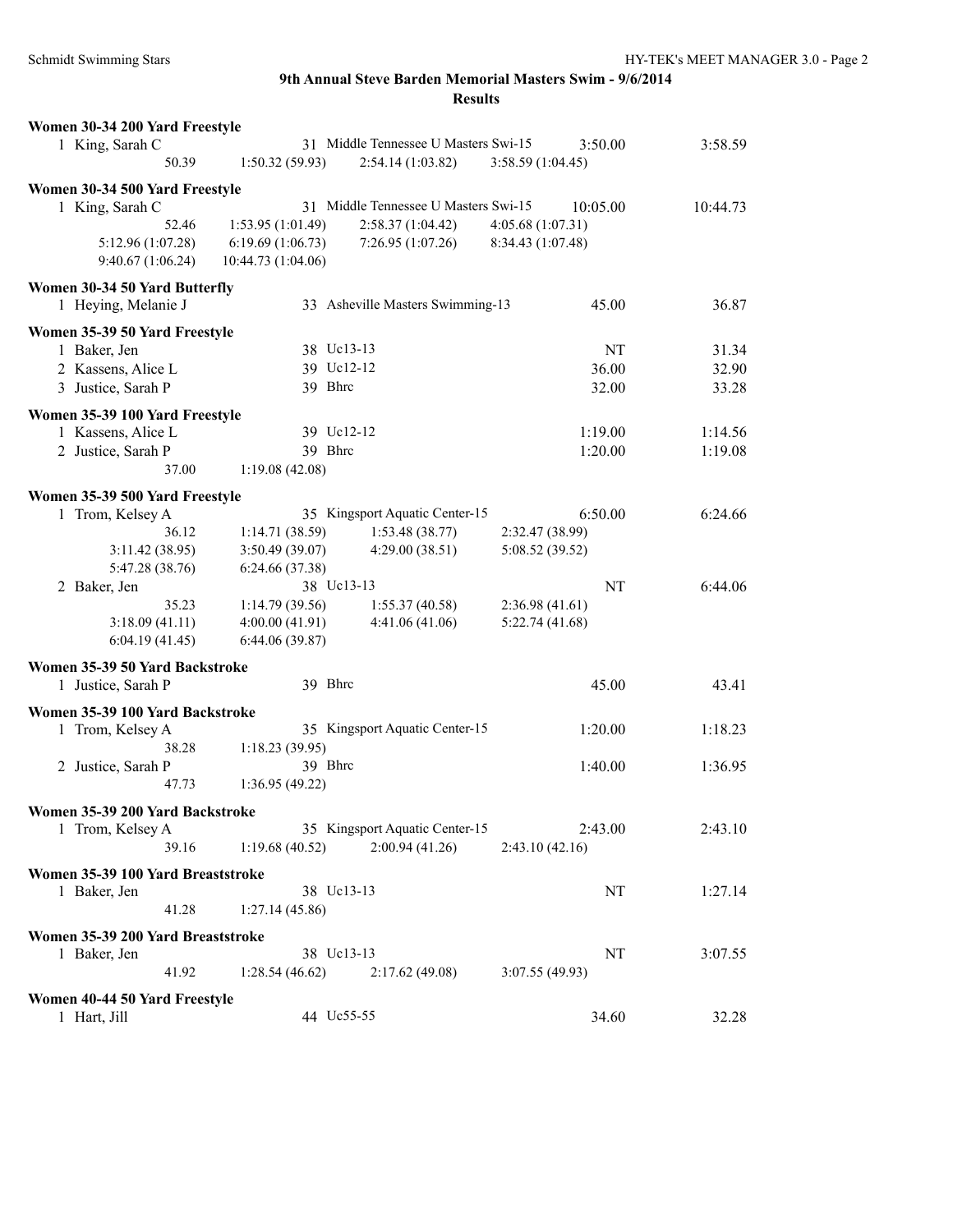| Women 30-34 200 Yard Freestyle    |                    |                                      |                   |          |
|-----------------------------------|--------------------|--------------------------------------|-------------------|----------|
| 1 King, Sarah C                   |                    | 31 Middle Tennessee U Masters Swi-15 | 3:50.00           | 3:58.59  |
| 50.39                             | 1:50.32(59.93)     | 2:54.14(1:03.82)                     | 3:58.59 (1:04.45) |          |
| Women 30-34 500 Yard Freestyle    |                    |                                      |                   |          |
| 1 King, Sarah C                   |                    | 31 Middle Tennessee U Masters Swi-15 | 10:05.00          | 10:44.73 |
| 52.46                             | 1:53.95(1:01.49)   | 2:58.37(1:04.42)                     | 4:05.68(1:07.31)  |          |
| 5:12.96 (1:07.28)                 | 6:19.69(1:06.73)   | 7:26.95(1:07.26)                     | 8:34.43 (1:07.48) |          |
| 9:40.67 (1:06.24)                 | 10:44.73 (1:04.06) |                                      |                   |          |
|                                   |                    |                                      |                   |          |
| Women 30-34 50 Yard Butterfly     |                    |                                      |                   |          |
| 1 Heying, Melanie J               |                    | 33 Asheville Masters Swimming-13     | 45.00             | 36.87    |
| Women 35-39 50 Yard Freestyle     |                    |                                      |                   |          |
| 1 Baker, Jen                      | 38 Uc13-13         |                                      | NT                | 31.34    |
| 2 Kassens, Alice L                | 39 Uc12-12         |                                      | 36.00             | 32.90    |
| 3 Justice, Sarah P                | 39 Bhrc            |                                      | 32.00             | 33.28    |
|                                   |                    |                                      |                   |          |
| Women 35-39 100 Yard Freestyle    |                    |                                      |                   |          |
| 1 Kassens, Alice L                | 39 Uc12-12         |                                      | 1:19.00           | 1:14.56  |
| 2 Justice, Sarah P                | 39 Bhrc            |                                      | 1:20.00           | 1:19.08  |
| 37.00                             | 1:19.08(42.08)     |                                      |                   |          |
| Women 35-39 500 Yard Freestyle    |                    |                                      |                   |          |
| 1 Trom, Kelsey A                  |                    | 35 Kingsport Aquatic Center-15       | 6:50.00           | 6:24.66  |
| 36.12                             | 1:14.71(38.59)     | 1:53.48(38.77)                       | 2:32.47 (38.99)   |          |
| 3:11.42(38.95)                    | 3:50.49(39.07)     | 4:29.00(38.51)                       | 5:08.52 (39.52)   |          |
| 5:47.28 (38.76)                   | 6:24.66 (37.38)    |                                      |                   |          |
| 2 Baker, Jen                      | 38 Uc13-13         |                                      | NT                | 6:44.06  |
| 35.23                             | 1:14.79(39.56)     | 1:55.37(40.58)                       | 2:36.98(41.61)    |          |
| 3:18.09(41.11)                    | 4:00.00(41.91)     | 4:41.06(41.06)                       | 5:22.74(41.68)    |          |
| 6:04.19(41.45)                    | 6:44.06(39.87)     |                                      |                   |          |
|                                   |                    |                                      |                   |          |
| Women 35-39 50 Yard Backstroke    |                    |                                      |                   |          |
| 1 Justice, Sarah P                | 39 Bhrc            |                                      | 45.00             | 43.41    |
| Women 35-39 100 Yard Backstroke   |                    |                                      |                   |          |
| 1 Trom, Kelsey A                  |                    | 35 Kingsport Aquatic Center-15       | 1:20.00           | 1:18.23  |
| 38.28                             | 1:18.23(39.95)     |                                      |                   |          |
| 2 Justice, Sarah P                | 39 Bhrc            |                                      | 1:40.00           | 1:36.95  |
| 47.73                             | 1:36.95 (49.22)    |                                      |                   |          |
|                                   |                    |                                      |                   |          |
| Women 35-39 200 Yard Backstroke   |                    | 35 Kingsport Aquatic Center-15       |                   |          |
| 1 Trom, Kelsey A                  | 1:19.68(40.52)     | 2:00.94(41.26)                       | 2:43.00           | 2:43.10  |
| 39.16                             |                    |                                      | 2:43.10(42.16)    |          |
| Women 35-39 100 Yard Breaststroke |                    |                                      |                   |          |
| 1 Baker, Jen                      | 38 Uc13-13         |                                      | NT                | 1:27.14  |
| 41.28                             | 1:27.14(45.86)     |                                      |                   |          |
| Women 35-39 200 Yard Breaststroke |                    |                                      |                   |          |
| 1 Baker, Jen                      | 38 Uc13-13         |                                      | NT                | 3:07.55  |
| 41.92                             | 1:28.54(46.62)     | 2:17.62(49.08)                       | 3:07.55(49.93)    |          |
|                                   |                    |                                      |                   |          |
| Women 40-44 50 Yard Freestyle     |                    |                                      |                   |          |
| 1 Hart, Jill                      | 44 Uc55-55         |                                      | 34.60             | 32.28    |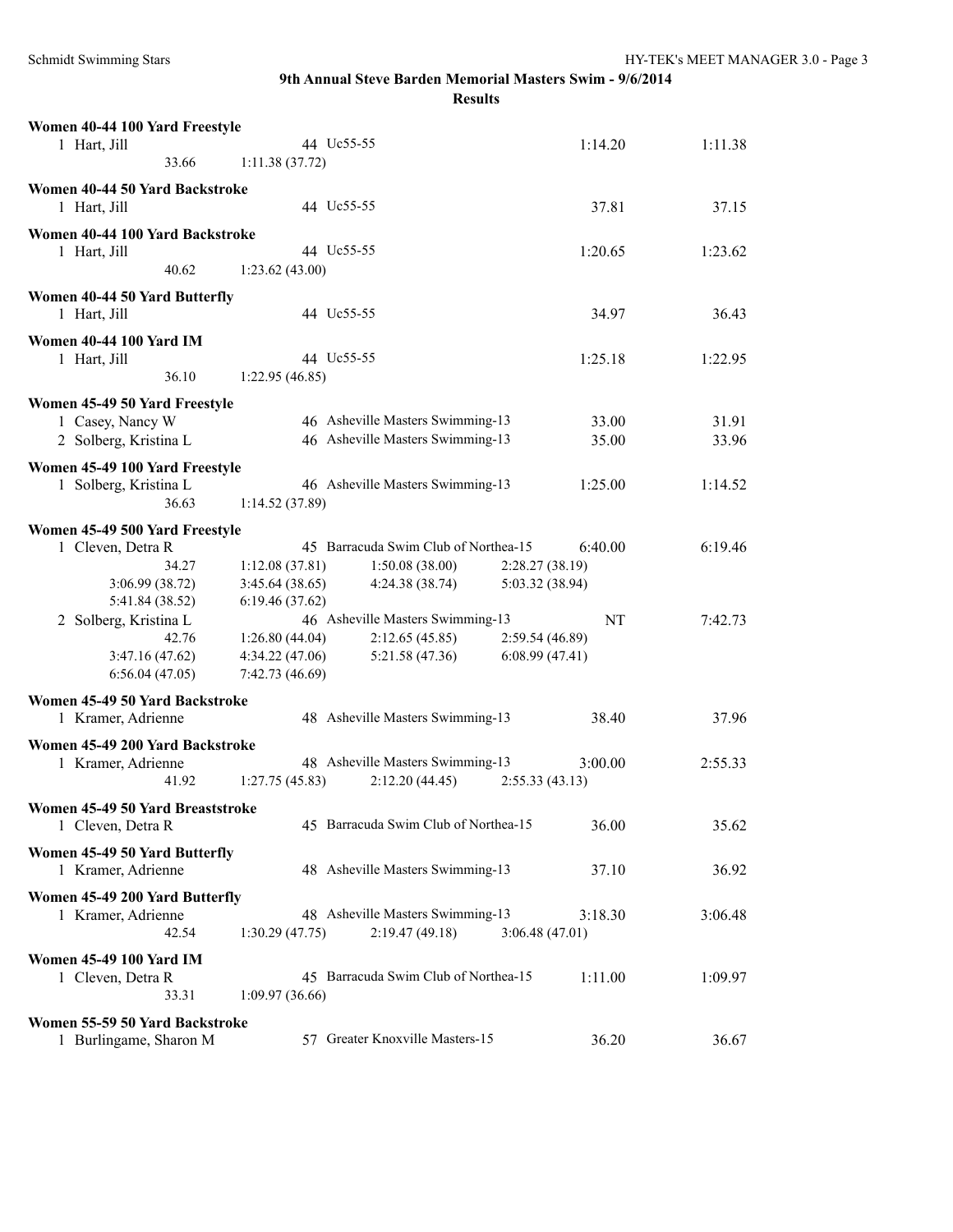| Women 40-44 100 Yard Freestyle                        |                 |                                      |                 |         |         |
|-------------------------------------------------------|-----------------|--------------------------------------|-----------------|---------|---------|
| 1 Hart, Jill<br>33.66                                 | 1:11.38(37.72)  | 44 Uc55-55                           |                 | 1:14.20 | 1:11.38 |
|                                                       |                 |                                      |                 |         |         |
| Women 40-44 50 Yard Backstroke<br>1 Hart, Jill        |                 | 44 Uc55-55                           |                 | 37.81   | 37.15   |
| Women 40-44 100 Yard Backstroke                       |                 |                                      |                 |         |         |
| 1 Hart, Jill                                          |                 | 44 Uc55-55                           |                 | 1:20.65 | 1:23.62 |
| 40.62                                                 | 1:23.62(43.00)  |                                      |                 |         |         |
| Women 40-44 50 Yard Butterfly<br>1 Hart, Jill         |                 | 44 Uc55-55                           |                 | 34.97   | 36.43   |
| <b>Women 40-44 100 Yard IM</b>                        |                 |                                      |                 |         |         |
| 1 Hart, Jill                                          |                 | 44 Uc55-55                           |                 | 1:25.18 | 1:22.95 |
| 36.10                                                 | 1:22.95(46.85)  |                                      |                 |         |         |
| Women 45-49 50 Yard Freestyle                         |                 |                                      |                 |         |         |
| 1 Casey, Nancy W                                      |                 | 46 Asheville Masters Swimming-13     |                 | 33.00   | 31.91   |
| 2 Solberg, Kristina L                                 |                 | 46 Asheville Masters Swimming-13     |                 | 35.00   | 33.96   |
|                                                       |                 |                                      |                 |         |         |
| Women 45-49 100 Yard Freestyle                        |                 |                                      |                 |         |         |
| 1 Solberg, Kristina L                                 |                 | 46 Asheville Masters Swimming-13     |                 | 1:25.00 | 1:14.52 |
| 36.63                                                 | 1:14.52(37.89)  |                                      |                 |         |         |
| Women 45-49 500 Yard Freestyle                        |                 |                                      |                 |         |         |
| 1 Cleven, Detra R                                     |                 | 45 Barracuda Swim Club of Northea-15 |                 | 6:40.00 | 6:19.46 |
| 34.27                                                 | 1:12.08(37.81)  | 1:50.08(38.00)                       | 2:28.27 (38.19) |         |         |
| 3:06.99 (38.72)                                       | 3:45.64(38.65)  | 4:24.38(38.74)                       | 5:03.32 (38.94) |         |         |
| 5:41.84 (38.52)                                       | 6:19.46(37.62)  |                                      |                 |         |         |
| 2 Solberg, Kristina L                                 |                 | 46 Asheville Masters Swimming-13     |                 | NT      | 7:42.73 |
| 42.76                                                 | 1:26.80(44.04)  | 2:12.65(45.85)                       | 2:59.54 (46.89) |         |         |
| 3:47.16(47.62)                                        | 4:34.22(47.06)  | 5:21.58(47.36)                       | 6:08.99(47.41)  |         |         |
| 6:56.04(47.05)                                        | 7:42.73 (46.69) |                                      |                 |         |         |
| Women 45-49 50 Yard Backstroke                        |                 |                                      |                 |         |         |
| 1 Kramer, Adrienne                                    |                 | 48 Asheville Masters Swimming-13     |                 | 38.40   | 37.96   |
| Women 45-49 200 Yard Backstroke                       |                 |                                      |                 |         |         |
| 1 Kramer, Adrienne                                    |                 | 48 Asheville Masters Swimming-13     |                 | 3:00.00 | 2:55.33 |
| 41.92                                                 | 1:27.75(45.83)  | 2:12.20(44.45)                       | 2:55.33(43.13)  |         |         |
|                                                       |                 |                                      |                 |         |         |
| Women 45-49 50 Yard Breaststroke<br>1 Cleven, Detra R |                 | 45 Barracuda Swim Club of Northea-15 |                 | 36.00   | 35.62   |
|                                                       |                 |                                      |                 |         |         |
| Women 45-49 50 Yard Butterfly<br>1 Kramer, Adrienne   |                 | 48 Asheville Masters Swimming-13     |                 | 37.10   | 36.92   |
|                                                       |                 |                                      |                 |         |         |
| Women 45-49 200 Yard Butterfly                        |                 |                                      |                 |         |         |
| 1 Kramer, Adrienne                                    |                 | 48 Asheville Masters Swimming-13     |                 | 3:18.30 | 3:06.48 |
| 42.54                                                 | 1:30.29(47.75)  | 2:19.47(49.18)                       | 3:06.48(47.01)  |         |         |
| <b>Women 45-49 100 Yard IM</b>                        |                 |                                      |                 |         |         |
| 1 Cleven, Detra R                                     |                 | 45 Barracuda Swim Club of Northea-15 |                 | 1:11.00 | 1:09.97 |
| 33.31                                                 | 1:09.97(36.66)  |                                      |                 |         |         |
| Women 55-59 50 Yard Backstroke                        |                 |                                      |                 |         |         |
| 1 Burlingame, Sharon M                                |                 | 57 Greater Knoxville Masters-15      |                 | 36.20   | 36.67   |
|                                                       |                 |                                      |                 |         |         |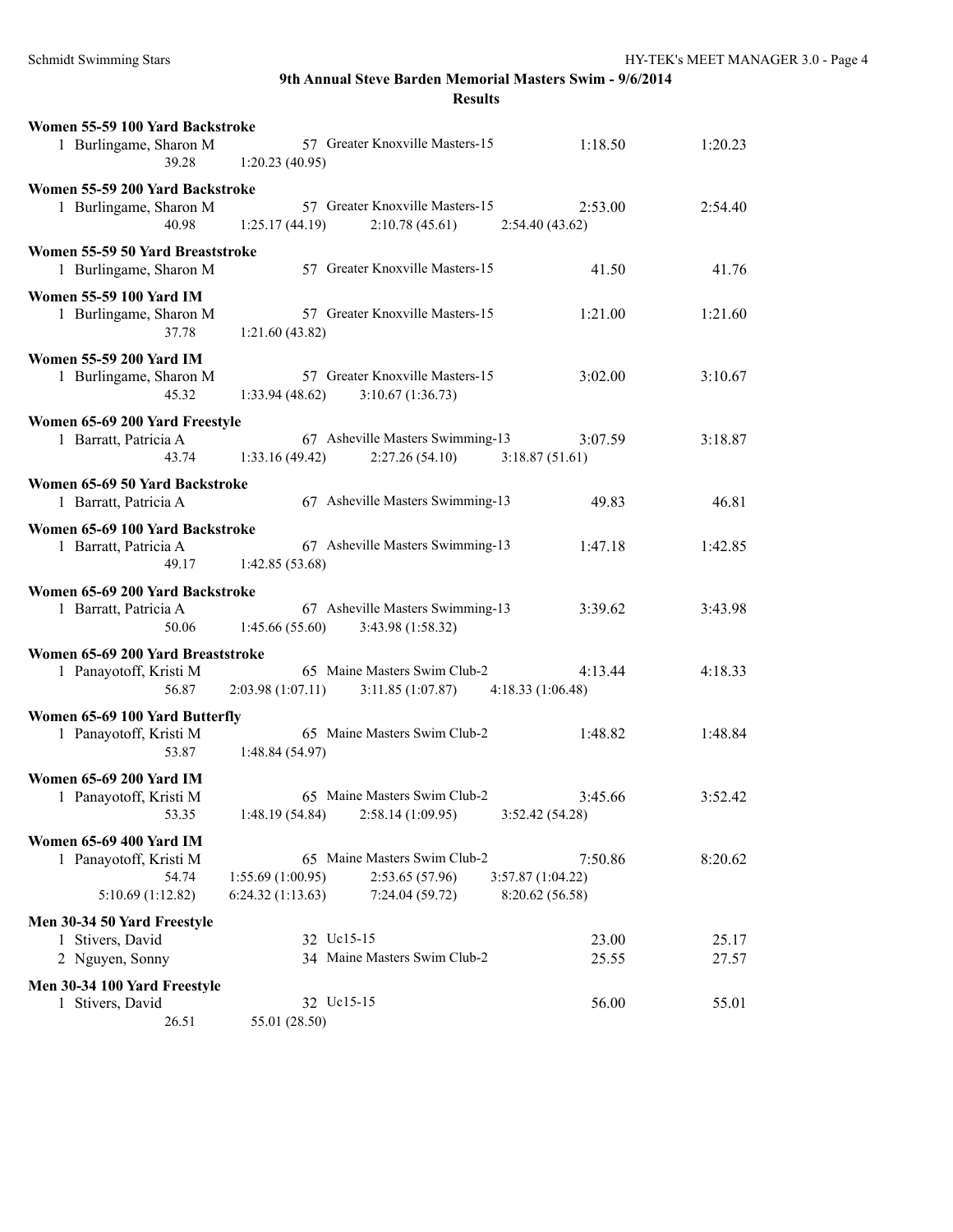| Women 55-59 100 Yard Backstroke<br>1 Burlingame, Sharon M<br>39.28              | 57 Greater Knoxville Masters-15<br>1:20.23(40.95)                                                                                                  | 1:18.50        | 1:20.23        |
|---------------------------------------------------------------------------------|----------------------------------------------------------------------------------------------------------------------------------------------------|----------------|----------------|
| Women 55-59 200 Yard Backstroke<br>1 Burlingame, Sharon M<br>40.98              | 57 Greater Knoxville Masters-15<br>1:25.17(44.19)<br>2:10.78(45.61)<br>2:54.40(43.62)                                                              | 2:53.00        | 2:54.40        |
| Women 55-59 50 Yard Breaststroke<br>1 Burlingame, Sharon M                      | 57 Greater Knoxville Masters-15                                                                                                                    | 41.50          | 41.76          |
| <b>Women 55-59 100 Yard IM</b><br>1 Burlingame, Sharon M<br>37.78               | 57 Greater Knoxville Masters-15<br>1:21.60(43.82)                                                                                                  | 1:21.00        | 1:21.60        |
| <b>Women 55-59 200 Yard IM</b><br>1 Burlingame, Sharon M<br>45.32               | 57 Greater Knoxville Masters-15<br>3:10.67(1:36.73)<br>1:33.94(48.62)                                                                              | 3:02.00        | 3:10.67        |
| Women 65-69 200 Yard Freestyle<br>1 Barratt, Patricia A<br>43.74                | 67 Asheville Masters Swimming-13<br>2:27.26(54.10)<br>1:33.16(49.42)<br>3:18.87(51.61)                                                             | 3:07.59        | 3:18.87        |
| Women 65-69 50 Yard Backstroke<br>1 Barratt, Patricia A                         | 67 Asheville Masters Swimming-13                                                                                                                   | 49.83          | 46.81          |
| Women 65-69 100 Yard Backstroke<br>1 Barratt, Patricia A<br>49.17               | 67 Asheville Masters Swimming-13<br>1:42.85(53.68)                                                                                                 | 1:47.18        | 1:42.85        |
| Women 65-69 200 Yard Backstroke<br>1 Barratt, Patricia A<br>50.06               | 67 Asheville Masters Swimming-13<br>1:45.66(55.60)<br>3:43.98 (1:58.32)                                                                            | 3:39.62        | 3:43.98        |
| Women 65-69 200 Yard Breaststroke<br>1 Panayotoff, Kristi M<br>56.87            | 65 Maine Masters Swim Club-2<br>2:03.98(1:07.11)<br>3:11.85(1:07.87)<br>4:18.33(1:06.48)                                                           | 4:13.44        | 4:18.33        |
| Women 65-69 100 Yard Butterfly<br>1 Panayotoff, Kristi M<br>53.87               | 65 Maine Masters Swim Club-2<br>1:48.84(54.97)                                                                                                     | 1:48.82        | 1:48.84        |
| <b>Women 65-69 200 Yard IM</b><br>1 Panayotoff, Kristi M<br>53.35               | 65 Maine Masters Swim Club-2<br>$1:48.19(54.84)$ $2:58.14(1:09.95)$<br>3:52.42(54.28)                                                              | 3:45.66        | 3:52.42        |
| Women 65-69 400 Yard IM<br>1 Panayotoff, Kristi M<br>54.74<br>5:10.69 (1:12.82) | 65 Maine Masters Swim Club-2<br>1:55.69 (1:00.95)<br>2:53.65(57.96)<br>3:57.87 (1:04.22)<br>6:24.32(1:13.63)<br>7:24.04 (59.72)<br>8:20.62 (56.58) | 7:50.86        | 8:20.62        |
| Men 30-34 50 Yard Freestyle<br>1 Stivers, David<br>2 Nguyen, Sonny              | 32 Uc15-15<br>34 Maine Masters Swim Club-2                                                                                                         | 23.00<br>25.55 | 25.17<br>27.57 |
| Men 30-34 100 Yard Freestyle<br>1 Stivers, David<br>26.51                       | 32 Uc15-15<br>55.01 (28.50)                                                                                                                        | 56.00          | 55.01          |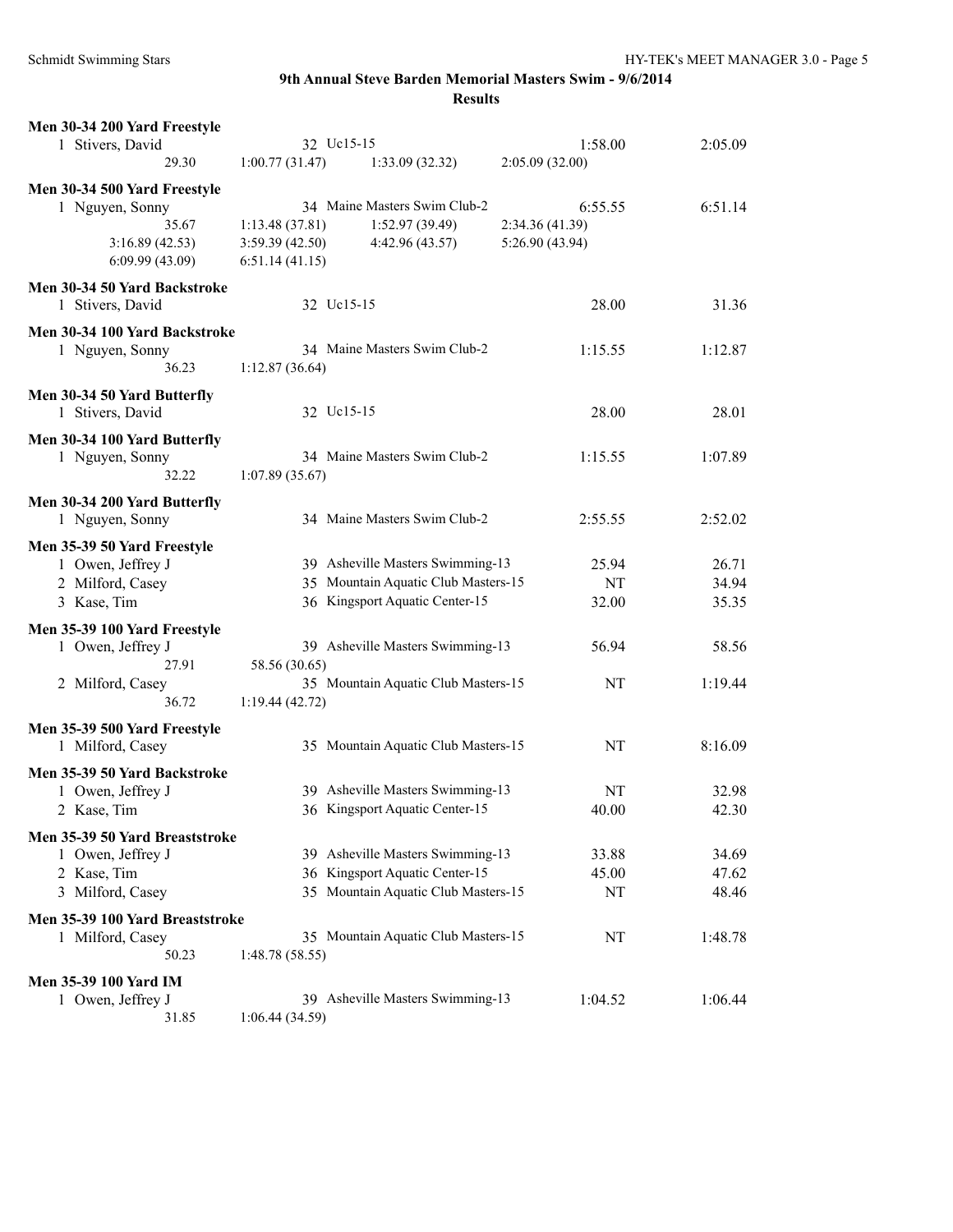| Men 30-34 200 Yard Freestyle    |                 |                                     |                 |         |
|---------------------------------|-----------------|-------------------------------------|-----------------|---------|
| 1 Stivers, David                | 32 Uc15-15      |                                     | 1:58.00         | 2:05.09 |
| 29.30                           | 1:00.77(31.47)  | 1:33.09(32.32)                      | 2:05.09(32.00)  |         |
| Men 30-34 500 Yard Freestyle    |                 |                                     |                 |         |
| 1 Nguyen, Sonny                 |                 | 34 Maine Masters Swim Club-2        | 6:55.55         | 6:51.14 |
| 35.67                           | 1:13.48(37.81)  | 1:52.97(39.49)                      | 2:34.36 (41.39) |         |
| 3:16.89(42.53)                  | 3:59.39(42.50)  | 4:42.96 (43.57)                     | 5:26.90 (43.94) |         |
| 6:09.99(43.09)                  | 6:51.14(41.15)  |                                     |                 |         |
|                                 |                 |                                     |                 |         |
| Men 30-34 50 Yard Backstroke    |                 |                                     |                 |         |
| 1 Stivers, David                | 32 Uc15-15      |                                     | 28.00           | 31.36   |
| Men 30-34 100 Yard Backstroke   |                 |                                     |                 |         |
| 1 Nguyen, Sonny                 |                 | 34 Maine Masters Swim Club-2        | 1:15.55         | 1:12.87 |
| 36.23                           | 1:12.87(36.64)  |                                     |                 |         |
| Men 30-34 50 Yard Butterfly     |                 |                                     |                 |         |
| 1 Stivers, David                | 32 Uc15-15      |                                     | 28.00           | 28.01   |
|                                 |                 |                                     |                 |         |
| Men 30-34 100 Yard Butterfly    |                 |                                     |                 |         |
| 1 Nguyen, Sonny                 |                 | 34 Maine Masters Swim Club-2        | 1:15.55         | 1:07.89 |
| 32.22                           | 1:07.89(35.67)  |                                     |                 |         |
| Men 30-34 200 Yard Butterfly    |                 |                                     |                 |         |
| 1 Nguyen, Sonny                 |                 | 34 Maine Masters Swim Club-2        | 2:55.55         | 2:52.02 |
|                                 |                 |                                     |                 |         |
| Men 35-39 50 Yard Freestyle     |                 |                                     |                 |         |
| 1 Owen, Jeffrey J               |                 | 39 Asheville Masters Swimming-13    | 25.94           | 26.71   |
| 2 Milford, Casey                |                 | 35 Mountain Aquatic Club Masters-15 | NT              | 34.94   |
| 3 Kase, Tim                     |                 | 36 Kingsport Aquatic Center-15      | 32.00           | 35.35   |
| Men 35-39 100 Yard Freestyle    |                 |                                     |                 |         |
| 1 Owen, Jeffrey J               |                 | 39 Asheville Masters Swimming-13    | 56.94           | 58.56   |
| 27.91                           | 58.56 (30.65)   |                                     |                 |         |
| 2 Milford, Casey                |                 | 35 Mountain Aquatic Club Masters-15 | NT              | 1:19.44 |
| 36.72                           | 1:19.44(42.72)  |                                     |                 |         |
|                                 |                 |                                     |                 |         |
| Men 35-39 500 Yard Freestyle    |                 |                                     |                 |         |
| 1 Milford, Casey                |                 | 35 Mountain Aquatic Club Masters-15 | NT              | 8:16.09 |
| Men 35-39 50 Yard Backstroke    |                 |                                     |                 |         |
| 1 Owen, Jeffrey J               |                 | 39 Asheville Masters Swimming-13    | NT              | 32.98   |
| 2 Kase, Tim                     |                 | 36 Kingsport Aquatic Center-15      | 40.00           | 42.30   |
|                                 |                 |                                     |                 |         |
| Men 35-39 50 Yard Breaststroke  |                 |                                     |                 |         |
| 1 Owen, Jeffrey J               |                 | 39 Asheville Masters Swimming-13    | 33.88           | 34.69   |
| 2 Kase, Tim                     |                 | 36 Kingsport Aquatic Center-15      | 45.00           | 47.62   |
| 3 Milford, Casey                |                 | 35 Mountain Aquatic Club Masters-15 | NT              | 48.46   |
| Men 35-39 100 Yard Breaststroke |                 |                                     |                 |         |
| 1 Milford, Casey                |                 | 35 Mountain Aquatic Club Masters-15 | NT              | 1:48.78 |
| 50.23                           | 1:48.78 (58.55) |                                     |                 |         |
|                                 |                 |                                     |                 |         |
| <b>Men 35-39 100 Yard IM</b>    |                 | 39 Asheville Masters Swimming-13    |                 |         |
| 1 Owen, Jeffrey J               |                 |                                     | 1:04.52         | 1:06.44 |
| 31.85                           | 1:06.44(34.59)  |                                     |                 |         |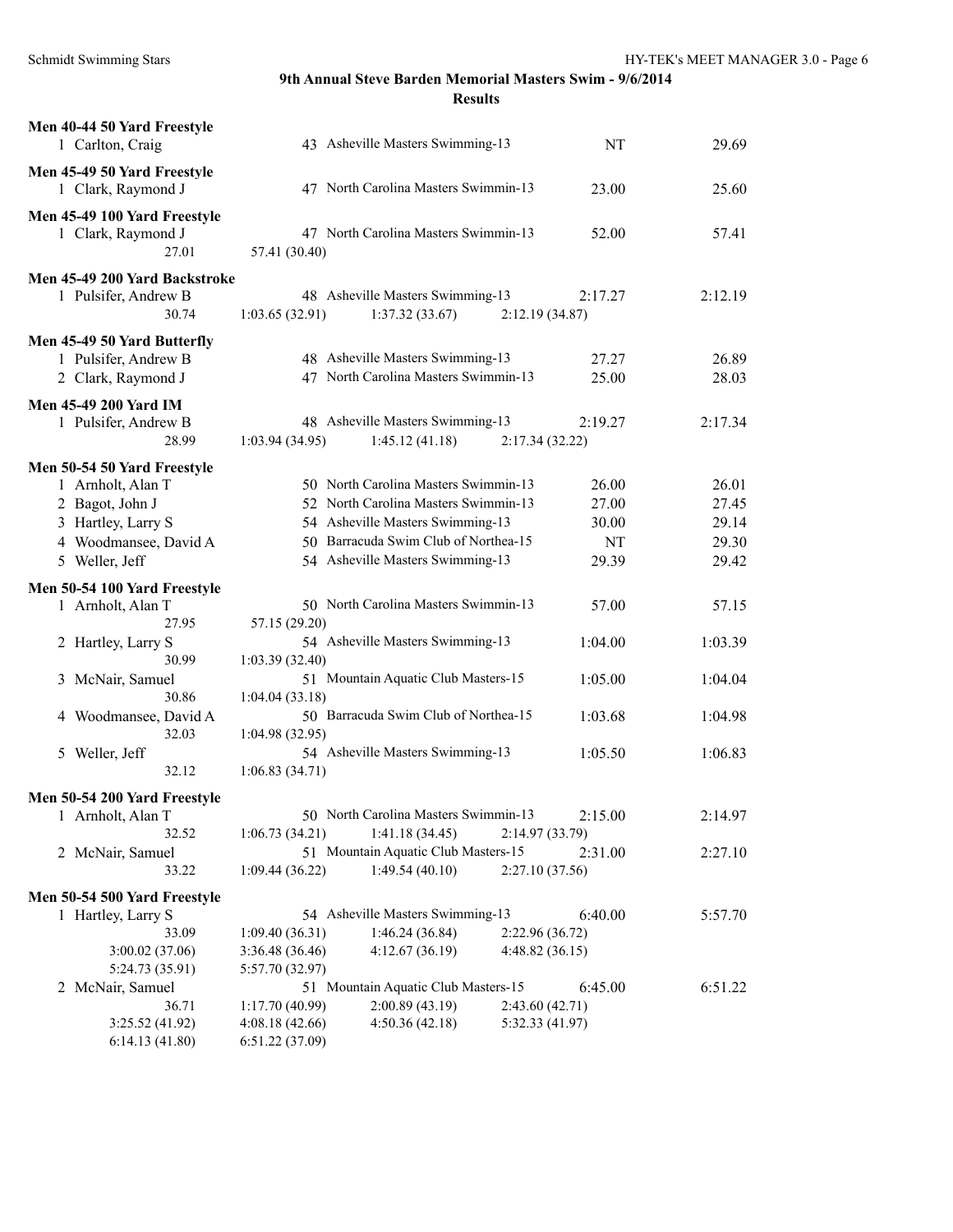| Men 40-44 50 Yard Freestyle<br>1 Carlton, Craig                                                                    |                                                     | 43 Asheville Masters Swimming-13                                                                                                                                                             |                                   | NT                            | 29.69                            |
|--------------------------------------------------------------------------------------------------------------------|-----------------------------------------------------|----------------------------------------------------------------------------------------------------------------------------------------------------------------------------------------------|-----------------------------------|-------------------------------|----------------------------------|
| Men 45-49 50 Yard Freestyle<br>1 Clark, Raymond J                                                                  |                                                     | 47 North Carolina Masters Swimmin-13                                                                                                                                                         |                                   | 23.00                         | 25.60                            |
| Men 45-49 100 Yard Freestyle<br>1 Clark, Raymond J<br>27.01                                                        | 57.41 (30.40)                                       | 47 North Carolina Masters Swimmin-13                                                                                                                                                         |                                   | 52.00                         | 57.41                            |
| Men 45-49 200 Yard Backstroke<br>1 Pulsifer, Andrew B<br>30.74                                                     | 1:03.65(32.91)                                      | 48 Asheville Masters Swimming-13<br>1:37.32(33.67)                                                                                                                                           | 2:12.19(34.87)                    | 2:17.27                       | 2:12.19                          |
| Men 45-49 50 Yard Butterfly<br>1 Pulsifer, Andrew B<br>2 Clark, Raymond J                                          |                                                     | 48 Asheville Masters Swimming-13<br>47 North Carolina Masters Swimmin-13                                                                                                                     |                                   | 27.27<br>25.00                | 26.89<br>28.03                   |
| <b>Men 45-49 200 Yard IM</b><br>1 Pulsifer, Andrew B<br>28.99                                                      | 1:03.94(34.95)                                      | 48 Asheville Masters Swimming-13<br>1:45.12(41.18)                                                                                                                                           | 2:17.34(32.22)                    | 2:19.27                       | 2:17.34                          |
| Men 50-54 50 Yard Freestyle<br>1 Arnholt, Alan T<br>2 Bagot, John J<br>3 Hartley, Larry S<br>4 Woodmansee, David A |                                                     | 50 North Carolina Masters Swimmin-13<br>52 North Carolina Masters Swimmin-13<br>54 Asheville Masters Swimming-13<br>50 Barracuda Swim Club of Northea-15<br>54 Asheville Masters Swimming-13 |                                   | 26.00<br>27.00<br>30.00<br>NT | 26.01<br>27.45<br>29.14<br>29.30 |
| 5 Weller, Jeff<br>Men 50-54 100 Yard Freestyle                                                                     |                                                     |                                                                                                                                                                                              |                                   | 29.39                         | 29.42                            |
| 1 Arnholt, Alan T<br>27.95                                                                                         | 57.15 (29.20)                                       | 50 North Carolina Masters Swimmin-13                                                                                                                                                         |                                   | 57.00                         | 57.15                            |
| 2 Hartley, Larry S<br>30.99                                                                                        | 1:03.39(32.40)                                      | 54 Asheville Masters Swimming-13                                                                                                                                                             |                                   | 1:04.00                       | 1:03.39                          |
| 3 McNair, Samuel<br>30.86                                                                                          | 1:04.04(33.18)                                      | 51 Mountain Aquatic Club Masters-15                                                                                                                                                          |                                   | 1:05.00                       | 1:04.04                          |
| 4 Woodmansee, David A<br>32.03                                                                                     | 1:04.98(32.95)                                      | 50 Barracuda Swim Club of Northea-15                                                                                                                                                         |                                   | 1:03.68                       | 1:04.98                          |
| 5 Weller, Jeff<br>32.12                                                                                            | 1:06.83(34.71)                                      | 54 Asheville Masters Swimming-13                                                                                                                                                             |                                   | 1:05.50                       | 1:06.83                          |
| Men 50-54 200 Yard Freestyle                                                                                       |                                                     | 50 North Carolina Masters Swimmin-13                                                                                                                                                         |                                   |                               |                                  |
| 1 Arnholt, Alan T<br>32.52                                                                                         | 1:06.73(34.21)                                      | 1:41.18(34.45)                                                                                                                                                                               | 2:14.97(33.79)                    | 2:15.00                       | 2:14.97                          |
| 2 McNair, Samuel<br>33.22                                                                                          | 1:09.44 (36.22)                                     | 51 Mountain Aquatic Club Masters-15<br>1:49.54(40.10)                                                                                                                                        | 2:27.10(37.56)                    | 2:31.00                       | 2:27.10                          |
| Men 50-54 500 Yard Freestyle                                                                                       |                                                     |                                                                                                                                                                                              |                                   |                               |                                  |
| 1 Hartley, Larry S                                                                                                 |                                                     | 54 Asheville Masters Swimming-13                                                                                                                                                             |                                   | 6:40.00                       | 5:57.70                          |
| 33.09<br>3:00.02(37.06)                                                                                            | 1:09.40(36.31)<br>3:36.48 (36.46)                   | 1:46.24(36.84)<br>4:12.67(36.19)                                                                                                                                                             | 2:22.96(36.72)<br>4:48.82(36.15)  |                               |                                  |
| 5:24.73 (35.91)                                                                                                    | 5:57.70 (32.97)                                     |                                                                                                                                                                                              |                                   |                               |                                  |
| 2 McNair, Samuel                                                                                                   |                                                     | 51 Mountain Aquatic Club Masters-15                                                                                                                                                          |                                   | 6:45.00                       | 6:51.22                          |
| 36.71<br>3:25.52(41.92)<br>6:14.13(41.80)                                                                          | 1:17.70(40.99)<br>4:08.18(42.66)<br>6:51.22 (37.09) | 2:00.89 (43.19)<br>4:50.36(42.18)                                                                                                                                                            | 2:43.60(42.71)<br>5:32.33 (41.97) |                               |                                  |
|                                                                                                                    |                                                     |                                                                                                                                                                                              |                                   |                               |                                  |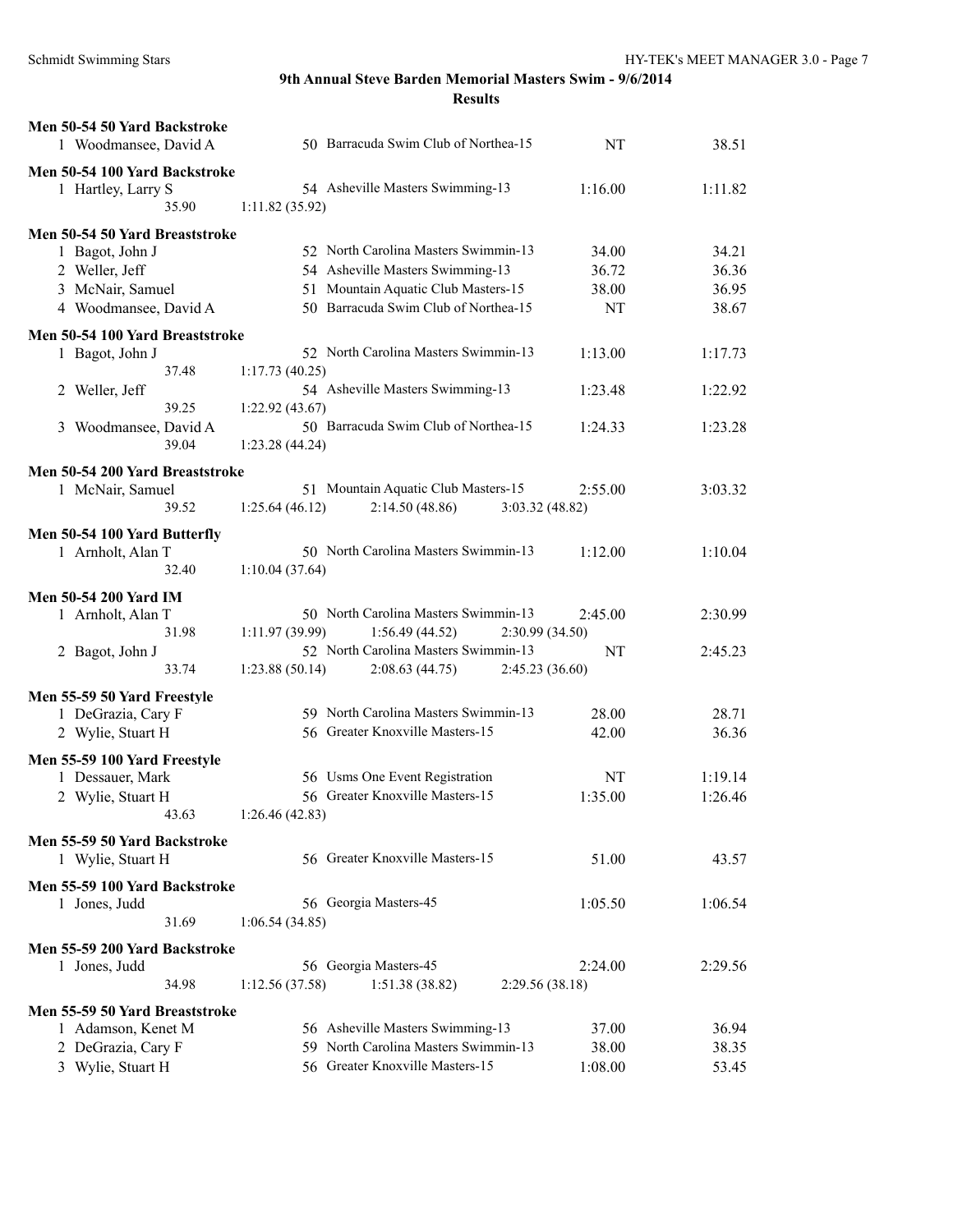| Men 50-54 50 Yard Backstroke<br>1 Woodmansee, David A | 50 Barracuda Swim Club of Northea-15               | NT              | 38.51   |
|-------------------------------------------------------|----------------------------------------------------|-----------------|---------|
| Men 50-54 100 Yard Backstroke                         |                                                    |                 |         |
| 1 Hartley, Larry S<br>35.90                           | 54 Asheville Masters Swimming-13<br>1:11.82(35.92) | 1:16.00         | 1:11.82 |
| Men 50-54 50 Yard Breaststroke                        |                                                    |                 |         |
| 1 Bagot, John J                                       | 52 North Carolina Masters Swimmin-13               | 34.00           | 34.21   |
| 2 Weller, Jeff                                        | 54 Asheville Masters Swimming-13                   | 36.72           | 36.36   |
| 3 McNair, Samuel                                      | 51 Mountain Aquatic Club Masters-15                | 38.00           | 36.95   |
| 4 Woodmansee, David A                                 | 50 Barracuda Swim Club of Northea-15               | NT              | 38.67   |
| Men 50-54 100 Yard Breaststroke                       |                                                    |                 |         |
| 1 Bagot, John J                                       | 52 North Carolina Masters Swimmin-13               | 1:13.00         | 1:17.73 |
| 37.48                                                 | 1:17.73(40.25)                                     |                 |         |
| 2 Weller, Jeff                                        | 54 Asheville Masters Swimming-13                   | 1:23.48         | 1:22.92 |
| 39.25                                                 | 1:22.92(43.67)                                     |                 |         |
| 3 Woodmansee, David A                                 | 50 Barracuda Swim Club of Northea-15               | 1:24.33         | 1:23.28 |
| 39.04                                                 | 1:23.28 (44.24)                                    |                 |         |
| Men 50-54 200 Yard Breaststroke                       |                                                    |                 |         |
| 1 McNair, Samuel                                      | 51 Mountain Aquatic Club Masters-15                | 2:55.00         | 3:03.32 |
| 39.52                                                 | 2:14.50(48.86)<br>1:25.64(46.12)                   | 3:03.32(48.82)  |         |
| Men 50-54 100 Yard Butterfly                          |                                                    |                 |         |
| 1 Arnholt, Alan T                                     | 50 North Carolina Masters Swimmin-13               | 1:12.00         | 1:10.04 |
| 32.40                                                 | 1:10.04(37.64)                                     |                 |         |
| <b>Men 50-54 200 Yard IM</b>                          |                                                    |                 |         |
| 1 Arnholt, Alan T                                     | 50 North Carolina Masters Swimmin-13               | 2:45.00         | 2:30.99 |
| 31.98                                                 | 1:11.97(39.99)<br>1:56.49(44.52)                   | 2:30.99(34.50)  |         |
| 2 Bagot, John J                                       | 52 North Carolina Masters Swimmin-13               | NT              | 2:45.23 |
| 33.74                                                 | 1:23.88(50.14)<br>2:08.63(44.75)                   | 2:45.23 (36.60) |         |
| Men 55-59 50 Yard Freestyle                           |                                                    |                 |         |
| 1 DeGrazia, Cary F                                    | 59 North Carolina Masters Swimmin-13               | 28.00           | 28.71   |
| 2 Wylie, Stuart H                                     | 56 Greater Knoxville Masters-15                    | 42.00           | 36.36   |
| Men 55-59 100 Yard Freestyle                          |                                                    |                 |         |
| 1 Dessauer, Mark                                      | 56 Usms One Event Registration                     | NT              | 1:19.14 |
| 2 Wylie, Stuart H                                     | 56 Greater Knoxville Masters-15                    | 1:35.00         | 1:26.46 |
| 43.63                                                 | 1:26.46(42.83)                                     |                 |         |
| Men 55-59 50 Yard Backstroke                          |                                                    |                 |         |
| 1 Wylie, Stuart H                                     | 56 Greater Knoxville Masters-15                    | 51.00           | 43.57   |
| Men 55-59 100 Yard Backstroke                         |                                                    |                 |         |
| 1 Jones, Judd                                         | 56 Georgia Masters-45                              | 1:05.50         | 1:06.54 |
| 31.69                                                 | 1:06.54(34.85)                                     |                 |         |
| Men 55-59 200 Yard Backstroke                         |                                                    |                 |         |
| 1 Jones, Judd                                         | 56 Georgia Masters-45                              | 2:24.00         | 2:29.56 |
| 34.98                                                 | 1:51.38(38.82)<br>1:12.56(37.58)                   | 2:29.56 (38.18) |         |
| Men 55-59 50 Yard Breaststroke                        |                                                    |                 |         |
| 1 Adamson, Kenet M                                    | 56 Asheville Masters Swimming-13                   | 37.00           | 36.94   |
| 2 DeGrazia, Cary F                                    | 59 North Carolina Masters Swimmin-13               | 38.00           | 38.35   |
| 3 Wylie, Stuart H                                     | 56 Greater Knoxville Masters-15                    | 1:08.00         | 53.45   |
|                                                       |                                                    |                 |         |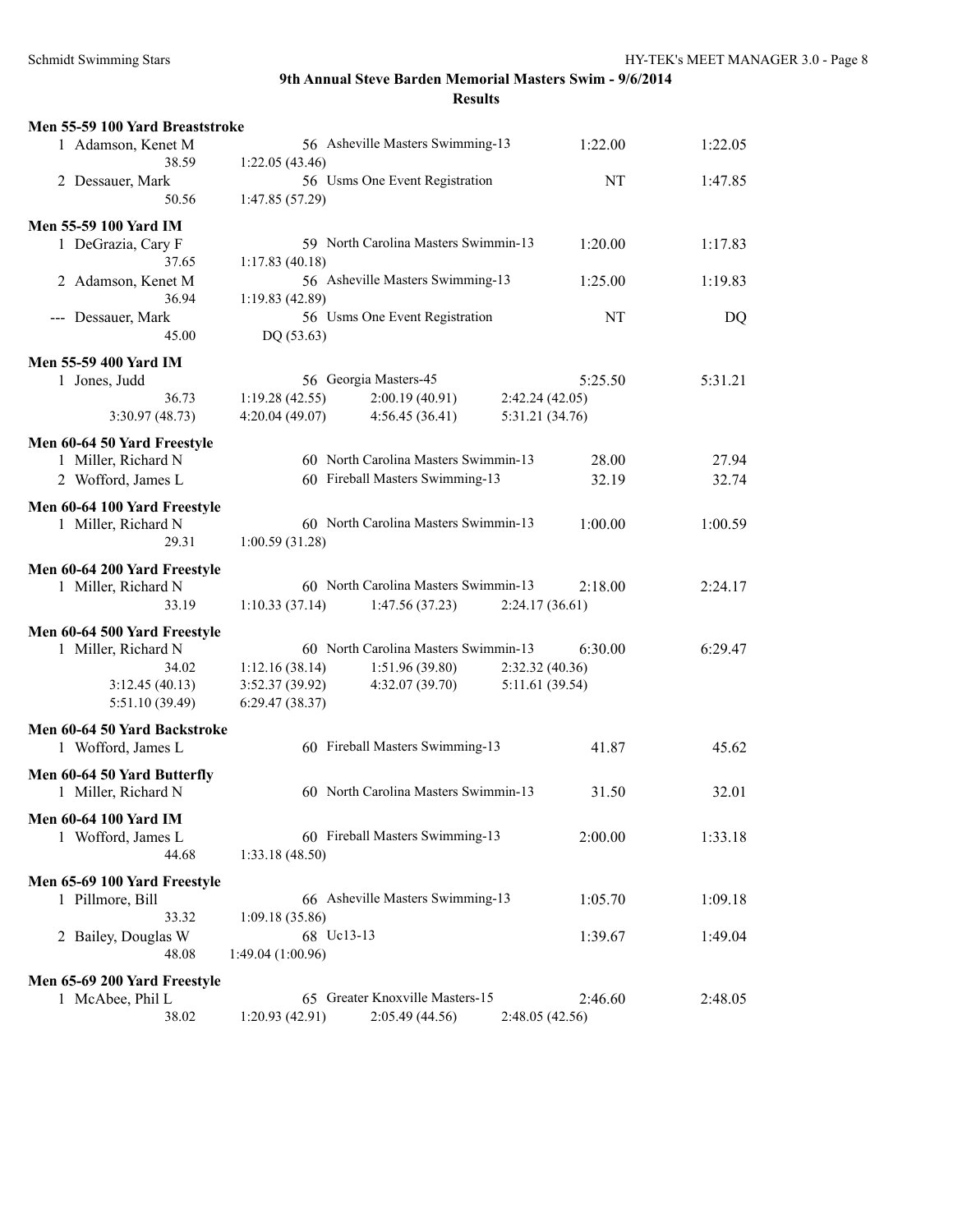| Men 55-59 100 Yard Breaststroke |                  |                                      |                 |         |
|---------------------------------|------------------|--------------------------------------|-----------------|---------|
| 1 Adamson, Kenet M              |                  | 56 Asheville Masters Swimming-13     | 1:22.00         | 1:22.05 |
| 38.59                           | 1:22.05(43.46)   |                                      |                 |         |
| 2 Dessauer, Mark                |                  | 56 Usms One Event Registration       | NT              | 1:47.85 |
| 50.56                           | 1:47.85 (57.29)  |                                      |                 |         |
|                                 |                  |                                      |                 |         |
| <b>Men 55-59 100 Yard IM</b>    |                  |                                      |                 |         |
| 1 DeGrazia, Cary F              |                  | 59 North Carolina Masters Swimmin-13 | 1:20.00         | 1:17.83 |
| 37.65                           | 1:17.83(40.18)   |                                      |                 |         |
| 2 Adamson, Kenet M              |                  | 56 Asheville Masters Swimming-13     | 1:25.00         | 1:19.83 |
| 36.94                           | 1:19.83 (42.89)  |                                      |                 |         |
| --- Dessauer, Mark              |                  | 56 Usms One Event Registration       | NT              | DQ      |
| 45.00                           | DQ(53.63)        |                                      |                 |         |
| <b>Men 55-59 400 Yard IM</b>    |                  |                                      |                 |         |
| 1 Jones, Judd                   |                  | 56 Georgia Masters-45                | 5:25.50         | 5:31.21 |
| 36.73                           | 1:19.28(42.55)   | 2:00.19(40.91)                       | 2:42.24(42.05)  |         |
| 3:30.97(48.73)                  | 4:20.04(49.07)   | 4:56.45(36.41)                       | 5:31.21 (34.76) |         |
|                                 |                  |                                      |                 |         |
| Men 60-64 50 Yard Freestyle     |                  |                                      |                 |         |
| 1 Miller, Richard N             |                  | 60 North Carolina Masters Swimmin-13 | 28.00           | 27.94   |
| 2 Wofford, James L              |                  | 60 Fireball Masters Swimming-13      | 32.19           | 32.74   |
| Men 60-64 100 Yard Freestyle    |                  |                                      |                 |         |
| 1 Miller, Richard N             |                  | 60 North Carolina Masters Swimmin-13 | 1:00.00         | 1:00.59 |
| 29.31                           | 1:00.59(31.28)   |                                      |                 |         |
|                                 |                  |                                      |                 |         |
| Men 60-64 200 Yard Freestyle    |                  |                                      |                 |         |
| 1 Miller, Richard N             |                  | 60 North Carolina Masters Swimmin-13 | 2:18.00         | 2:24.17 |
| 33.19                           | 1:10.33(37.14)   | 1:47.56(37.23)                       | 2:24.17(36.61)  |         |
| Men 60-64 500 Yard Freestyle    |                  |                                      |                 |         |
| 1 Miller, Richard N             |                  | 60 North Carolina Masters Swimmin-13 | 6:30.00         | 6:29.47 |
| 34.02                           | 1:12.16(38.14)   | 1:51.96(39.80)                       | 2:32.32 (40.36) |         |
| 3:12.45(40.13)                  | 3:52.37 (39.92)  | 4:32.07 (39.70)                      | 5:11.61 (39.54) |         |
| 5:51.10 (39.49)                 | 6:29.47(38.37)   |                                      |                 |         |
|                                 |                  |                                      |                 |         |
| Men 60-64 50 Yard Backstroke    |                  |                                      |                 |         |
| 1 Wofford, James L              |                  | 60 Fireball Masters Swimming-13      | 41.87           | 45.62   |
| Men 60-64 50 Yard Butterfly     |                  |                                      |                 |         |
|                                 |                  | 60 North Carolina Masters Swimmin-13 | 31.50           | 32.01   |
| 1 Miller, Richard N             |                  |                                      |                 |         |
| Men 60-64 100 Yard IM           |                  |                                      |                 |         |
| 1 Wofford, James L              |                  | 60 Fireball Masters Swimming-13      | 2:00.00         | 1:33.18 |
| 44.68                           | 1:33.18(48.50)   |                                      |                 |         |
|                                 |                  |                                      |                 |         |
| Men 65-69 100 Yard Freestyle    |                  | 66 Asheville Masters Swimming-13     |                 |         |
| 1 Pillmore, Bill                |                  |                                      | 1:05.70         | 1:09.18 |
| 33.32                           | 1:09.18 (35.86)  |                                      |                 |         |
| 2 Bailey, Douglas W             | 68 Uc13-13       |                                      | 1:39.67         | 1:49.04 |
| 48.08                           | 1:49.04(1:00.96) |                                      |                 |         |
| Men 65-69 200 Yard Freestyle    |                  |                                      |                 |         |
| 1 McAbee, Phil L                |                  | 65 Greater Knoxville Masters-15      | 2:46.60         | 2:48.05 |
| 38.02                           | 1:20.93(42.91)   | 2:05.49 (44.56)                      | 2:48.05(42.56)  |         |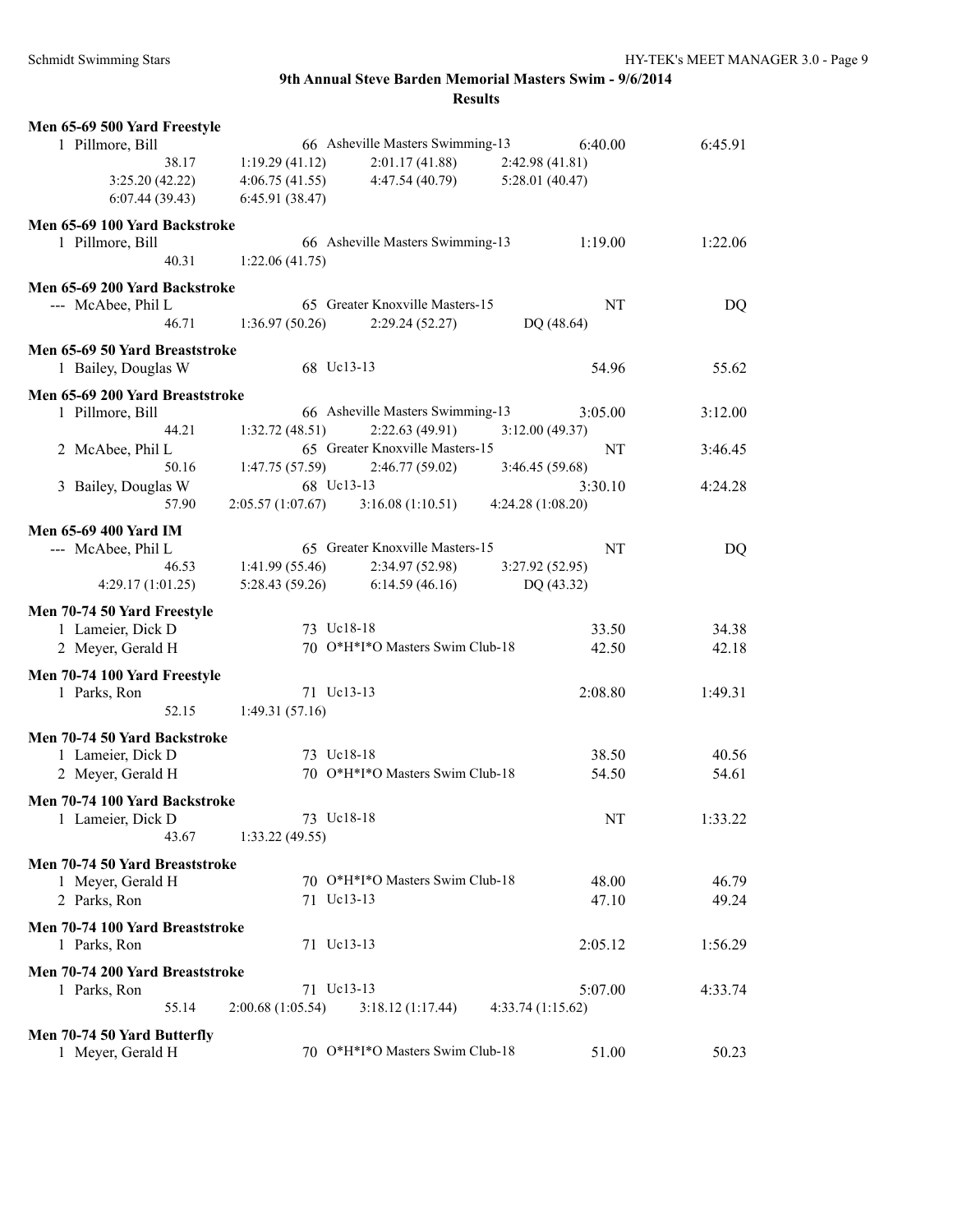| 3:25.20(42.22)                                        | 4:06.75(41.55)                   | 4:47.54(40.79)                                     | 5:28.01(40.47)               |                |
|-------------------------------------------------------|----------------------------------|----------------------------------------------------|------------------------------|----------------|
| 6:07.44(39.43)                                        | 6:45.91(38.47)                   |                                                    |                              |                |
| Men 65-69 100 Yard Backstroke<br>1 Pillmore, Bill     |                                  | 66 Asheville Masters Swimming-13                   | 1:19.00                      | 1:22.06        |
| 40.31                                                 | 1:22.06(41.75)                   |                                                    |                              |                |
| Men 65-69 200 Yard Backstroke                         |                                  |                                                    |                              |                |
| --- McAbee, Phil L                                    |                                  | 65 Greater Knoxville Masters-15                    | NT                           | DQ             |
| 46.71                                                 | 1:36.97(50.26)                   | 2:29.24(52.27)                                     | DQ (48.64)                   |                |
| Men 65-69 50 Yard Breaststroke<br>1 Bailey, Douglas W |                                  | 68 Uc13-13                                         | 54.96                        | 55.62          |
| Men 65-69 200 Yard Breaststroke                       |                                  |                                                    |                              |                |
| 1 Pillmore, Bill<br>44.21                             | 1:32.72(48.51)                   | 66 Asheville Masters Swimming-13<br>2:22.63(49.91) | 3:05.00<br>3:12.00(49.37)    | 3:12.00        |
| 2 McAbee, Phil L                                      |                                  | 65 Greater Knoxville Masters-15                    | NT                           | 3:46.45        |
| 50.16                                                 | 1:47.75(57.59)                   | 2:46.77(59.02)                                     | 3:46.45(59.68)               |                |
| 3 Bailey, Douglas W                                   |                                  | 68 Uc13-13                                         | 3:30.10                      | 4:24.28        |
| 57.90                                                 | 2:05.57 (1:07.67)                | 3:16.08(1:10.51)                                   | 4:24.28(1:08.20)             |                |
| <b>Men 65-69 400 Yard IM</b>                          |                                  |                                                    |                              |                |
| --- McAbee, Phil L                                    |                                  | 65 Greater Knoxville Masters-15                    | NT                           | DQ             |
| 46.53<br>4:29.17 (1:01.25)                            | 1:41.99(55.46)<br>5:28.43(59.26) | 2:34.97 (52.98)<br>6:14.59(46.16)                  | 3:27.92(52.95)<br>DQ (43.32) |                |
|                                                       |                                  |                                                    |                              |                |
| Men 70-74 50 Yard Freestyle<br>1 Lameier, Dick D      |                                  | 73 Uc18-18                                         | 33.50                        |                |
| 2 Meyer, Gerald H                                     |                                  | 70 O*H*I*O Masters Swim Club-18                    | 42.50                        | 34.38<br>42.18 |
|                                                       |                                  |                                                    |                              |                |
| Men 70-74 100 Yard Freestyle<br>1 Parks, Ron          |                                  | 71 Uc13-13                                         | 2:08.80                      | 1:49.31        |
| 52.15                                                 | 1:49.31(57.16)                   |                                                    |                              |                |
| Men 70-74 50 Yard Backstroke                          |                                  |                                                    |                              |                |
| 1 Lameier, Dick D                                     |                                  | 73 Uc18-18                                         | 38.50                        | 40.56          |
| 2 Meyer, Gerald H                                     |                                  | 70 O*H*I*O Masters Swim Club-18                    | 54.50                        | 54.61          |
| Men 70-74 100 Yard Backstroke                         |                                  |                                                    |                              |                |
| 1 Lameier, Dick D                                     |                                  | 73 Uc18-18                                         | $\rm{NT}$                    | 1:33.22        |
| 43.67                                                 | 1:33.22(49.55)                   |                                                    |                              |                |
| Men 70-74 50 Yard Breaststroke                        |                                  |                                                    |                              |                |
| 1 Meyer, Gerald H                                     |                                  | 70 O*H*I*O Masters Swim Club-18                    | 48.00                        | 46.79          |
| 2 Parks, Ron                                          |                                  | 71 Uc13-13                                         | 47.10                        | 49.24          |
| Men 70-74 100 Yard Breaststroke<br>1 Parks, Ron       |                                  | 71 Uc13-13                                         | 2:05.12                      | 1:56.29        |
| Men 70-74 200 Yard Breaststroke                       |                                  |                                                    |                              |                |
| 1 Parks, Ron                                          |                                  | 71 Uc13-13                                         | 5:07.00                      | 4:33.74        |
| 55.14                                                 | 2:00.68(1:05.54)                 | 3:18.12(1:17.44)                                   | 4:33.74(1:15.62)             |                |
| Men 70-74 50 Yard Butterfly                           |                                  |                                                    |                              |                |
| 1 Meyer, Gerald H                                     |                                  | 70 O*H*I*O Masters Swim Club-18                    | 51.00                        | 50.23          |